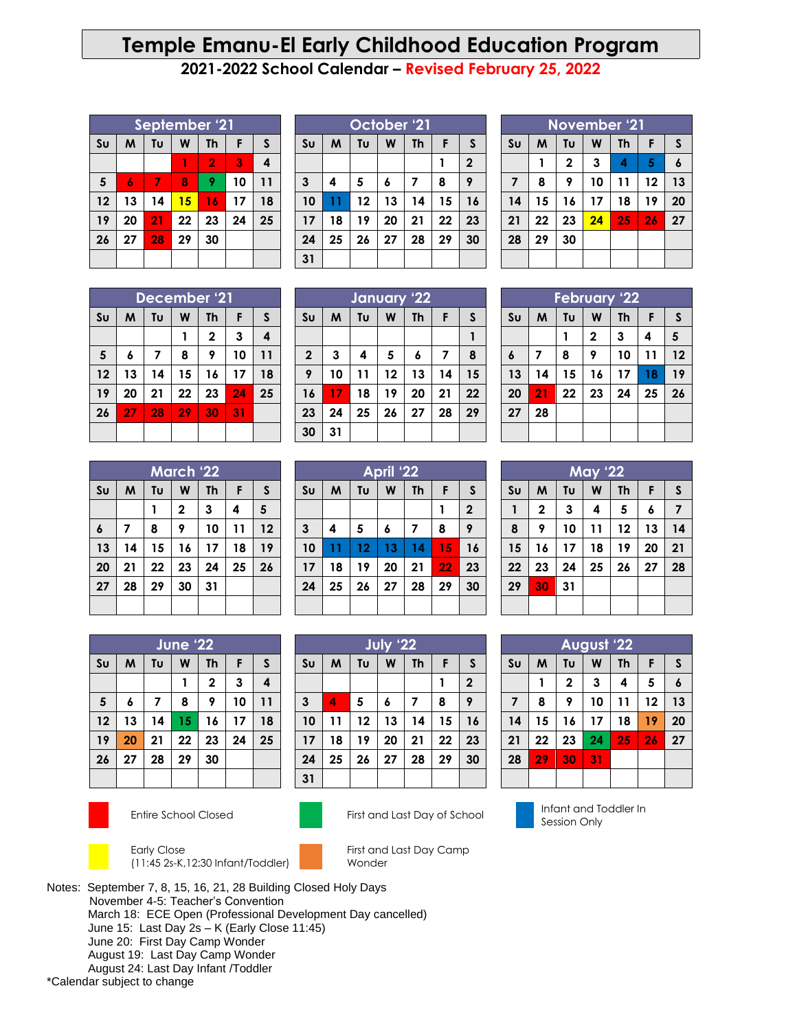## **Temple Emanu-El Early Childhood Education Program**

**2021-2022 School Calendar – Revised February 25, 2022**

| September '21  |    |    |    |                |    |    |  |
|----------------|----|----|----|----------------|----|----|--|
| S <sub>U</sub> | M  | Tυ | W  | <b>Th</b>      | F  | S  |  |
|                |    |    |    | $\overline{2}$ | 3  | 4  |  |
| $5\phantom{1}$ | 6  | 7  | 8  | 9              | 10 | 11 |  |
| 12             | 13 | 14 | 15 | 16             | 17 | 18 |  |
| 19             | 20 | 21 | 22 | 23             | 24 | 25 |  |
| 26             | 27 | 28 | 29 | 30             |    |    |  |
|                |    |    |    |                |    |    |  |

| October '21    |    |                |              |    |    |    |  |
|----------------|----|----------------|--------------|----|----|----|--|
| S <sub>U</sub> | M  | F              | $\mathsf{S}$ |    |    |    |  |
|                |    | $\overline{2}$ |              |    |    |    |  |
| $\mathbf{3}$   | 4  | 5              | 6            | 7  | 8  | 9  |  |
| 10             | 11 | 12             | 13           | 14 | 15 | 16 |  |
| 17             | 18 | 19             | 20           | 21 | 22 | 23 |  |
| 24             | 25 | 26             | 27           | 28 | 29 | 30 |  |
| 31             |    |                |              |    |    |    |  |

| November '21   |    |             |    |    |    |                  |  |
|----------------|----|-------------|----|----|----|------------------|--|
| S <sub>U</sub> | M  | F           | S  |    |    |                  |  |
|                | 1  | $\mathbf 2$ | 3  | 4  | 5  | $\boldsymbol{6}$ |  |
| $\overline{7}$ | 8  | 9           | 10 | 11 | 12 | 13               |  |
| 14             | 15 | 16          | 17 | 18 | 19 | 20               |  |
| 21             | 22 | 23          | 24 | 25 | 26 | 27               |  |
| 28             | 29 | 30          |    |    |    |                  |  |
|                |    |             |    |    |    |                  |  |

| December '21   |    |    |    |              |    |    |  |
|----------------|----|----|----|--------------|----|----|--|
| S <sub>U</sub> | M  | Tυ | W  | <b>Th</b>    | F  | S  |  |
|                |    |    | 1  | $\mathbf{2}$ | 3  | 4  |  |
| 5              | 6  | 7  | 8  | 9            | 10 | 11 |  |
| 12             | 13 | 14 | 15 | 16           | 17 | 18 |  |
| 19             | 20 | 21 | 22 | 23           | 24 | 25 |  |
| 26             | 27 | 28 | 29 | 30           | 31 |    |  |
|                |    |    |    |              |    |    |  |

|                | January '22                                    |    |    |    |    |    |  |  |  |
|----------------|------------------------------------------------|----|----|----|----|----|--|--|--|
| S <sub>U</sub> | F<br>Tυ<br>M<br>W<br>$\mathsf{S}$<br><b>Th</b> |    |    |    |    |    |  |  |  |
|                |                                                |    |    |    |    |    |  |  |  |
| $\mathbf 2$    | 3                                              | 4  | 5  | 6  | 7  | 8  |  |  |  |
| 9              | 10                                             | 11 | 12 | 13 | 14 | 15 |  |  |  |
| 16             | 17                                             | 18 | 19 | 20 | 21 | 22 |  |  |  |
| 23             | 24                                             | 25 | 26 | 27 | 28 | 29 |  |  |  |
| 30             | 31                                             |    |    |    |    |    |  |  |  |

| March '22        |                                     |    |              |    |    |    |  |  |
|------------------|-------------------------------------|----|--------------|----|----|----|--|--|
| S <sub>U</sub>   | Tυ<br>S<br>M<br>W<br><b>Th</b><br>F |    |              |    |    |    |  |  |
|                  |                                     |    | $\mathbf{2}$ | 3  | 4  | 5  |  |  |
| $\boldsymbol{6}$ | 7                                   | 8  | 9            | 10 | 11 | 12 |  |  |
| 13               | 14                                  | 15 | 16           | 17 | 18 | 19 |  |  |
| 20               | 21                                  | 22 | 23           | 24 | 25 | 26 |  |  |
| 27               | 28                                  | 29 | 30           | 31 |    |    |  |  |
|                  |                                     |    |              |    |    |    |  |  |

| April '22      |    |    |    |           |    |              |  |  |
|----------------|----|----|----|-----------|----|--------------|--|--|
| S <sub>U</sub> | M  | Tυ | W  | <b>Th</b> | F  | S            |  |  |
|                |    |    |    |           |    | $\mathbf{2}$ |  |  |
| 3              | 4  | 5  | 6  | 7         | 8  | 9            |  |  |
| 10             | 11 | 12 | 13 | 14        | 15 | 16           |  |  |
| 17             | 18 | 19 | 20 | 21        | 22 | 23           |  |  |
| 24             | 25 | 26 | 27 | 28        | 29 | 30           |  |  |
|                |    |    |    |           |    |              |  |  |

**July '22 Su M Tu W Th F S**

 **4 5 6 7 8 9 11 12 13 14 15 16 18 19 20 21 22 23 25 26 27 28 29 30**

|                                                       | June '22 |    |    |             |    |    |  |  |
|-------------------------------------------------------|----------|----|----|-------------|----|----|--|--|
| S <sub>U</sub><br>M<br>W<br><b>Th</b><br>Tυ<br>S<br>F |          |    |    |             |    |    |  |  |
|                                                       |          |    |    | $\mathbf 2$ | 3  | 4  |  |  |
| $\overline{\mathbf{5}}$                               | 6        | 7  | 8  | 9           | 10 | 11 |  |  |
| 12                                                    | 13       | 14 | 15 | 16          | 17 | 18 |  |  |
| 19                                                    | 20       | 21 | 22 | 23          | 24 | 25 |  |  |
| 26                                                    | 27       | 28 | 29 | 30          |    |    |  |  |
|                                                       |          |    |    |             |    |    |  |  |



Early Close (11:45 2s-K,12:30 Infant/Toddler)





**2**



Notes: September 7, 8, 15, 16, 21, 28 Building Closed Holy Days November 4-5: Teacher's Convention March 18: ECE Open (Professional Development Day cancelled) June 15: Last Day 2s – K (Early Close 11:45) June 20: First Day Camp Wonder August 19: Last Day Camp Wonder August 24: Last Day Infant /Toddler

\*Calendar subject to change

| <b>February '22</b> |    |    |    |           |    |    |  |  |  |
|---------------------|----|----|----|-----------|----|----|--|--|--|
| Sυ                  | M  | Tu | W  | <b>Th</b> | F  | S  |  |  |  |
|                     |    |    | 2  | 3         | 4  | 5  |  |  |  |
| 6                   | 7  | 8  | 9  | 10        | 11 | 12 |  |  |  |
| 13                  | 14 | 15 | 16 | 17        | 18 | 19 |  |  |  |
| 20                  | 21 | 22 | 23 | 24        | 25 | 26 |  |  |  |
| 27                  | 28 |    |    |           |    |    |  |  |  |
|                     |    |    |    |           |    |    |  |  |  |
|                     |    |    |    |           |    |    |  |  |  |

| <b>May '22</b> |             |    |    |           |    |    |  |  |
|----------------|-------------|----|----|-----------|----|----|--|--|
| S <sub>U</sub> | M           | Tu | W  | <b>Th</b> | F  | S  |  |  |
| 1              | $\mathbf 2$ | 3  | 4  | 5         | 6  | 7  |  |  |
| 8              | 9           | 10 | 11 | 12        | 13 | 14 |  |  |
| 15             | 16          | 17 | 18 | 19        | 20 | 21 |  |  |
| 22             | 23          | 24 | 25 | 26        | 27 | 28 |  |  |
| 29             | 30          | 31 |    |           |    |    |  |  |
|                |             |    |    |           |    |    |  |  |

| <b>August '22</b> |                                     |             |    |    |    |    |  |
|-------------------|-------------------------------------|-------------|----|----|----|----|--|
| S <sub>U</sub>    | F<br>Tυ<br>W<br>M<br><b>Th</b><br>S |             |    |    |    |    |  |
|                   | 1                                   | $\mathbf 2$ | 3  | 4  | 5  | 6  |  |
| $\overline{7}$    | 8                                   | 9           | 10 | 11 | 12 | 13 |  |
| 14                | 15                                  | 16          | 17 | 18 | 19 | 20 |  |
| 21                | 22                                  | 23          | 24 | 25 | 26 | 27 |  |
| 28                |                                     |             |    |    |    |    |  |
|                   |                                     |             |    |    |    |    |  |

Entire School Closed First and Last Day of School Infant and Toddler In Session Only